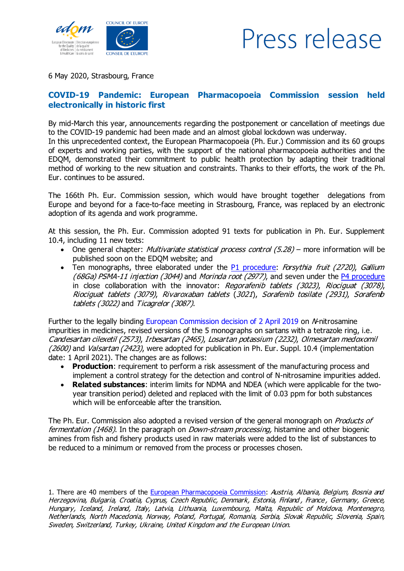

## Press release

6 May 2020, Strasbourg, France

## COVID-19 Pandemic: European Pharmacopoeia Commission session held electronically in historic first

By mid-March this year, announcements regarding the postponement or cancellation of meetings due to the COVID-19 pandemic had been made and an almost global lockdown was underway.

In this unprecedented context, the European Pharmacopoeia (Ph. Eur.) Commission and its 60 groups of experts and working parties, with the support of the national pharmacopoeia authorities and the EDQM, demonstrated their commitment to public health protection by adapting their traditional method of working to the new situation and constraints. Thanks to their efforts, the work of the Ph. Eur. continues to be assured.

The 166th Ph. Eur. Commission session, which would have brought together delegations from Europe and beyond for a face-to-face meeting in Strasbourg, France, was replaced by an electronic adoption of its agenda and work programme.

At this session, the Ph. Eur. Commission adopted 91 texts for publication in Ph. Eur. Supplement 10.4, including 11 new texts:

- One general chapter: *Multivariate statistical process control (5.28)* more information will be published soon on the EDQM website; and
- Ten monographs, three elaborated under the P1 [procedure:](https://www.edqm.eu/medias/fichiers/new_procedure_1_elaborationrevision_of_a_monograph_sept_2013.pdf) Forsythia fruit (2720), Gallium (68Ga) PSMA-11 injection (3044) and Morindaroot (2977), and seven under the  $P4$  [procedure](https://www.edqm.eu/medias/fichiers/new_procedure_4_workflow_elaboration_of_a_monograph_updated_sept_2013.pdf) in close collaboration with the innovator: Regorafenib tablets (3023), Riociquat (3078), Riociguat tablets (3079), Rivaroxaban tablets (3021), Sorafenib tosilate (2931), Sorafenib tablets (3022) and Ticagrelor (3087).

Further to the legally binding European Commission decision of 2 April 2019 on M-nitrosamine impurities in medicines, revised versions of the 5 monographs on sartans with a tetrazole ring, i.e. Candesartan cilexetil (2573), Irbesartan (2465), Losartan potassium (2232), Olmesartan medoxomil (2600) and Valsartan (2423), were adopted for publication in Ph. Eur. Suppl. 10.4 (implementation date: 1 April 2021). The changes are as follows:

- Production: requirement to perform a risk assessment of the manufacturing process and implement a control strategy for the detection and control of N-nitrosamine impurities added.
- · Related substances: interim limits for NDMA and NDEA (which were applicable for the twoyear transition period) deleted and replaced with the limit of 0.03 ppm for both substances which will be enforceable after the transition.

The Ph. Eur. Commission also adopted a revised version of the general monograph on *Products of* fermentation (1468). In the paragraph on *Down-stream processing*, histamine and other biogenic amines from fish and fishery products used in raw materials were added to the list of substances to be reduced to a minimum or removed from the process or processes chosen.

1. There are 40 members of the European [Pharmacopoeia](https://www.edqm.eu/en/european-pharmacopoeia-membership-observership-608.html) Commission: Austria, Albania, Belgium, Bosnia and Herzegovina, Bulgaria, Croatia, Cyprus, Czech Republic, Denmark, Estonia, Finland, France, Germany, Greece, Hungary, Iceland, Ireland, Italy, Latvia, Lithuania, Luxembourg, Malta, Republic of Moldova, Montenegro, Netherlands, North Macedonia, Norway, Poland, Portugal, Romania, Serbia, Slovak Republic, Slovenia, Spain, Sweden, Switzerland, Turkey, Ukraine, United Kingdom and the European Union.